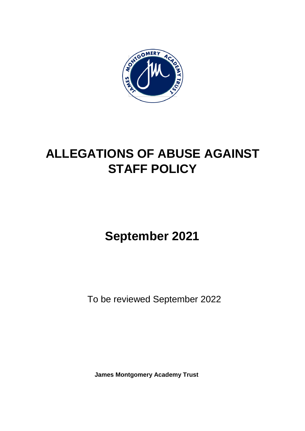

# **ALLEGATIONS OF ABUSE AGAINST STAFF POLICY**

# **September 2021**

To be reviewed September 2022

**James Montgomery Academy Trust**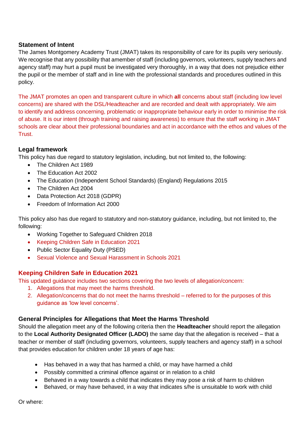# **Statement of Intent**

The James Montgomery Academy Trust (JMAT) takes its responsibility of care for its pupils very seriously. We recognise that any possibility that amember of staff (including governors, volunteers, supply teachers and agency staff) may hurt a pupil must be investigated very thoroughly, in a way that does not prejudice either the pupil or the member of staff and in line with the professional standards and procedures outlined in this policy.

The JMAT promotes an open and transparent culture in which **all** concerns about staff (including low level concerns) are shared with the DSL/Headteacher and are recorded and dealt with appropriately. We aim to identify and address concerning, problematic or inappropriate behaviour early in order to minimise the risk of abuse. It is our intent (through training and raising awareness) to ensure that the staff working in JMAT schools are clear about their professional boundaries and act in accordance with the ethos and values of the Trust.

# **Legal framework**

This policy has due regard to statutory legislation, including, but not limited to, the following:

- The Children Act 1989
- The Education Act 2002
- The Education (Independent School Standards) (England) Regulations 2015
- The Children Act 2004
- Data Protection Act 2018 (GDPR)
- Freedom of Information Act 2000

This policy also has due regard to statutory and non-statutory guidance, including, but not limited to, the following:

- Working Together to Safeguard Children 2018
- Keeping Children Safe in Education 2021
- Public Sector Equality Duty (PSED)
- Sexual Violence and Sexual Harassment in Schools 2021

# **Keeping Children Safe in Education 2021**

This updated guidance includes two sections covering the two levels of allegation/concern:

- 1. Allegations that may meet the harms threshold.
- 2. Allegation/concerns that do not meet the harms threshold referred to for the purposes of this guidance as 'low level concerns'.

# **General Principles for Allegations that Meet the Harms Threshold**

Should the allegation meet any of the following criteria then the **Headteacher** should report the allegation to the **Local Authority Designated Officer (LADO)** the same day that the allegation is received – that a teacher or member of staff (including governors, volunteers, supply teachers and agency staff) in a school that provides education for children under 18 years of age has:

- Has behaved in a way that has harmed a child, or may have harmed a child
- Possibly committed a criminal offence against or in relation to a child
- Behaved in a way towards a child that indicates they may pose a risk of harm to children
- Behaved, or may have behaved, in a way that indicates s/he is unsuitable to work with child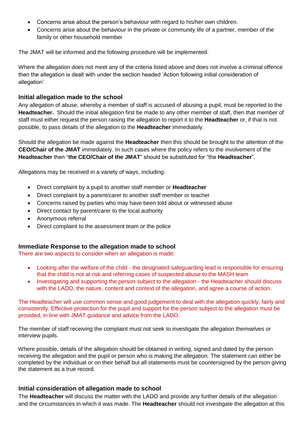- Concerns arise about the person's behaviour with regard to his/her own children.
- Concerns arise about the behaviour in the private or community life of a partner, member of the family or other household member

The JMAT will be informed and the following procedure will be implemented.

Where the allegation does not meet any of the criteria listed above and does not involve a criminal offence then the allegation is dealt with under the section headed 'Action following initial consideration of allegation'

#### **Initial allegation made to the school**

Any allegation of abuse, whereby a member of staff is accused of abusing a pupil, must be reported to the **Headteacher.** Should the initial allegation first be made to any other member of staff, then that member of staff must either request the person raising the allegation to report it to the **Headteacher** or, if that is not possible, to pass details of the allegation to the **Headteacher** immediately.

Should the allegation be made against the **Headteacher** then this should be brought to the attention of the **CEO/Chair of the JMAT** immediately. In such cases where the policy refers to the involvement of the **Headteacher** then "**the CEO/Chair of the JMAT**" should be substituted for "the **Headteacher**".

Allegations may be received in a variety of ways, including:

- Direct complaint by a pupil to another staff member or **Headteacher**
- Direct complaint by a parent/carer to another staff member or teacher
- Concerns raised by parties who may have been told about or witnessed abuse
- Direct contact by parent/carer to the local authority
- Anonymous referral
- Direct complaint to the assessment team or the police

# **Immediate Response to the allegation made to school**

There are two aspects to consider when an allegation is made:

- Looking after the welfare of the child the designated safeguarding lead is responsible for ensuring that the child is not at risk and referring cases of suspected abuse to the MASH team
- Investigating and supporting the person subject to the allegation the Headteacher should discuss with the LADO, the nature, content and context of the allegation, and agree a course of action.

The Headteacher will use common sense and good judgement to deal with the allegation quickly, fairly and consistently. Effective protection for the pupil and support for the person subject to the allegation must be provided, in line with JMAT guidance and advice from the LADO.

 The member of staff receiving the complaint must not seek to investigate the allegation themselves or interview pupils.

 Where possible, details of the allegation should be obtained in writing, signed and dated by the person receiving the allegation and the pupil or person who is making the allegation. The statement can either be completed by the individual or on their behalf but all statements must be countersigned by the person giving the statement as a true record.

# **Initial consideration of allegation made to school**

The **Headteacher** will discuss the matter with the LADO and provide any further details of the allegation and the circumstances in which it was made. The **Headteacher** should not investigate the allegation at this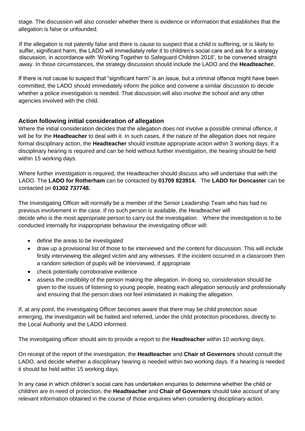stage. The discussion will also consider whether there is evidence or information that establishes that the allegation is false or unfounded.

 If the allegation is not patently false and there is cause to suspect that a child is suffering, or is likely to suffer, significant harm, the LADO will immediately refer it to children's social care and ask for a strategy discussion, in accordance with 'Working Together to Safeguard Children 2018', to be convened straight away. In those circumstances, the strategy discussion should include the LADO and the **Headteacher.**

If there is not cause to suspect that "significant harm" is an issue, but a criminal offence might have been committed, the LADO should immediately inform the police and convene a similar discussion to decide whether a police investigation is needed. That discussion will also involve the school and any other agencies involved with the child.

# **Action following initial consideration of allegation**

Where the initial consideration decides that the allegation does not involve a possible criminal offence, it will be for the **Headteacher** to deal with it. In such cases, if the nature of the allegation does not require formal disciplinary action, the **Headteacher** should institute appropriate action within 3 working days. If a disciplinary hearing is required and can be held without further investigation, the hearing should be held within 15 working days.

Where further investigation is required, the Headteacher should discuss who will undertake that with the LADO. The **LADO for Rotherham** can be contacted by **01709 823914.** The **LADO for Doncaster** can be contacted on **01302 737748.**

The Investigating Officer will normally be a member of the Senior Leadership Team who has had no previous involvement in the case. If no such person is available, the Headteacher will decide who is the most appropriate person to carry out the investigation. Where the investigation is to be conducted internally for inappropriate behaviour the investigating officer will:

- define the areas to be investigated
- draw up a provisional list of those to be interviewed and the content for discussion. This will include firstly interviewing the alleged victim and any witnesses. If the incident occurred in a classroom then a random selection of pupils will be interviewed, if appropriate
- check potentially corroborative evidence
- assess the credibility of the person making the allegation. In doing so, consideration should be given to the issues of listening to young people, treating each allegation seriously and professionally and ensuring that the person does not feel intimidated in making the allegation.

If, at any point, the Investigating Officer becomes aware that there may be child protection issue emerging, the investigation will be halted and referred, under the child protection procedures, directly to the Local Authority and the LADO informed.

The investigating officer should aim to provide a report to the **Headteacher** within 10 working days.

On receipt of the report of the investigation, the **Headteacher** and **Chair of Governors** should consult the LADO, and decide whether a disciplinary hearing is needed within two working days. If a hearing is needed it should be held within 15 working days.

In any case in which children's social care has undertaken enquiries to determine whether the child or children are in need of protection, the **Headteacher** and **Chair of Governors** should take account of any relevant information obtained in the course of those enquiries when considering disciplinary action.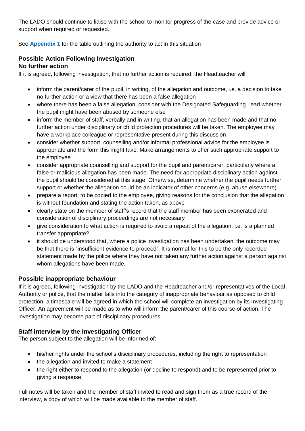The LADO should continue to liaise with the school to monitor progress of the case and provide advice or support when required or requested.

See **Appendix 1** for the table outlining the authority to act in this situation

#### **Possible Action Following Investigation No further action**

If it is agreed, following investigation, that no further action is required, the Headteacher will:

- inform the parent/carer of the pupil, in writing, of the allegation and outcome, i.e. a decision to take no further action or a view that there has been a false allegation
- where there has been a false allegation, consider with the Designated Safeguarding Lead whether the pupil might have been abused by someone else
- inform the member of staff, verbally and in writing, that an allegation has been made and that no further action under disciplinary or child protection procedures will be taken. The employee may have a workplace colleague or representative present during this discussion
- consider whether support, counselling and/or informal professional advice for the employee is appropriate and the form this might take. Make arrangements to offer such appropriate support to the employee
- consider appropriate counselling and support for the pupil and parent/carer, particularly where a false or malicious allegation has been made. The need for appropriate disciplinary action against the pupil should be considered at this stage. Otherwise, determine whether the pupil needs further support or whether the allegation could be an indicator of other concerns (e.g. abuse elsewhere)
- prepare a report, to be copied to the employee, giving reasons for the conclusion that the allegation is without foundation and stating the action taken, as above
- clearly state on the member of staff's record that the staff member has been exonerated and consideration of disciplinary proceedings are not necessary
- give consideration to what action is required to avoid a repeat of the allegation, i.e. is a planned transfer appropriate?
- it should be understood that, where a police investigation has been undertaken, the outcome may be that there is "insufficient evidence to proceed". It is normal for this to be the only recorded statement made by the police where they have not taken any further action against a person against whom allegations have been made.

# **Possible inappropriate behaviour**

If it is agreed, following investigation by the LADO and the Headteacher and/or representatives of the Local Authority or police, that the matter falls into the category of inappropriate behaviour as opposed to child protection, a timescale will be agreed in which the school will complete an investigation by its Investigating Officer. An agreement will be made as to who will inform the parent/carer of this course of action. The investigation may become part of disciplinary procedures.

# **Staff interview by the Investigating Officer**

The person subject to the allegation will be informed of:

- his/her rights under the school's disciplinary procedures, including the right to representation
- the allegation and invited to make a statement
- the right either to respond to the allegation (or decline to respond) and to be represented prior to giving a response

Full notes will be taken and the member of staff invited to read and sign them as a true record of the interview, a copy of which will be made available to the member of staff.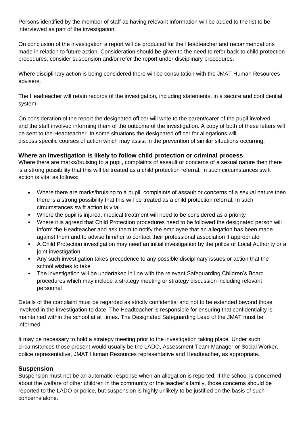Persons identified by the member of staff as having relevant information will be added to the list to be interviewed as part of the investigation.

On conclusion of the investigation a report will be produced for the Headteacher and recommendations made in relation to future action. Consideration should be given to the need to refer back to child protection procedures, consider suspension and/or refer the report under disciplinary procedures.

Where disciplinary action is being considered there will be consultation with the JMAT Human Resources advisers.

The Headteacher will retain records of the investigation, including statements, in a secure and confidential system.

On consideration of the report the designated officer will write to the parent/carer of the pupil involved and the staff involved informing them of the outcome of the investigation. A copy of both of these letters will be sent to the Headteacher. In some situations the designated officer for allegations will discuss specific courses of action which may assist in the prevention of similar situations occurring.

# **Where an investigation is likely to follow child protection or criminal process**

Where there are marks/bruising to a pupil, complaints of assault or concerns of a sexual nature then there is a strong possibility that this will be treated as a child protection referral. In such circumstances swift action is vital as follows:

- Where there are marks/bruising to a pupil, complaints of assault or concerns of a sexual nature then there is a strong possibility that this will be treated as a child protection referral. In such circumstances swift action is vital.
- Where the pupil is injured, medical treatment will need to be considered as a priority
- Where it is agreed that Child Protection procedures need to be followed the designated person will inform the Headteacher and ask them to notify the employee that an allegation has been made against them and to advise him/her to contact their professional association if appropriate
- A Child Protection investigation may need an initial investigation by the police or Local Authority or a joint investigation
- Any such investigation takes precedence to any possible disciplinary issues or action that the school wishes to take
- The investigation will be undertaken in line with the relevant Safeguarding Children's Board procedures which may include a strategy meeting or strategy discussion including relevant personnel

Details of the complaint must be regarded as strictly confidential and not to be extended beyond those involved in the investigation to date. The Headteacher is responsible for ensuring that confidentiality is maintained within the school at all times. The Designated Safeguarding Lead of the JMAT must be informed.

It may be necessary to hold a strategy meeting prior to the investigation taking place. Under such circumstances those present would usually be the LADO, Assessment Team Manager or Social Worker, police representative, JMAT Human Resources representative and Headteacher, as appropriate.

# **Suspension**

Suspension must not be an automatic response when an allegation is reported. If the school is concerned about the welfare of other children in the community or the teacher's family, those concerns should be reported to the LADO or police, but suspension is highly unlikely to be justified on the basis of such concerns alone.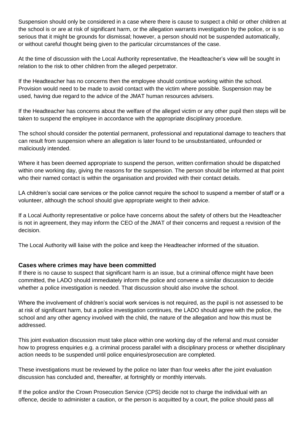Suspension should only be considered in a case where there is cause to suspect a child or other children at the school is or are at risk of significant harm, or the allegation warrants investigation by the police, or is so serious that it might be grounds for dismissal; however, a person should not be suspended automatically, or without careful thought being given to the particular circumstances of the case.

At the time of discussion with the Local Authority representative, the Headteacher's view will be sought in relation to the risk to other children from the alleged perpetrator.

If the Headteacher has no concerns then the employee should continue working within the school. Provision would need to be made to avoid contact with the victim where possible. Suspension may be used, having due regard to the advice of the JMAT human resources advisers.

If the Headteacher has concerns about the welfare of the alleged victim or any other pupil then steps will be taken to suspend the employee in accordance with the appropriate disciplinary procedure.

The school should consider the potential permanent, professional and reputational damage to teachers that can result from suspension where an allegation is later found to be unsubstantiated, unfounded or maliciously intended.

Where it has been deemed appropriate to suspend the person, written confirmation should be dispatched within one working day, giving the reasons for the suspension. The person should be informed at that point who their named contact is within the organisation and provided with their contact details.

LA children's social care services or the police cannot require the school to suspend a member of staff or a volunteer, although the school should give appropriate weight to their advice.

If a Local Authority representative or police have concerns about the safety of others but the Headteacher is not in agreement, they may inform the CEO of the JMAT of their concerns and request a revision of the decision.

The Local Authority will liaise with the police and keep the Headteacher informed of the situation.

# **Cases where crimes may have been committed**

If there is no cause to suspect that significant harm is an issue, but a criminal offence might have been committed, the LADO should immediately inform the police and convene a similar discussion to decide whether a police investigation is needed. That discussion should also involve the school.

Where the involvement of children's social work services is not required, as the pupil is not assessed to be at risk of significant harm, but a police investigation continues, the LADO should agree with the police, the school and any other agency involved with the child, the nature of the allegation and how this must be addressed.

This joint evaluation discussion must take place within one working day of the referral and must consider how to progress enquiries e.g. a criminal process parallel with a disciplinary process or whether disciplinary action needs to be suspended until police enquiries/prosecution are completed.

These investigations must be reviewed by the police no later than four weeks after the joint evaluation discussion has concluded and, thereafter, at fortnightly or monthly intervals.

If the police and/or the Crown Prosecution Service (CPS) decide not to charge the individual with an offence, decide to administer a caution, or the person is acquitted by a court, the police should pass all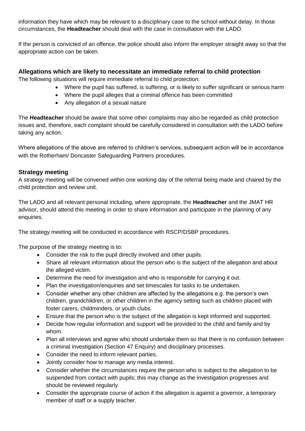information they have which may be relevant to a disciplinary case to the school without delay. In those circumstances, the **Headteacher** should deal with the case in consultation with the LADO.

If the person is convicted of an offence, the police should also inform the employer straight away so that the appropriate action can be taken.

# **Allegations which are likely to necessitate an immediate referral to child protection**

The following situations will require immediate referral to child protection:

- Where the pupil has suffered, is suffering, or is likely to suffer significant or serious harm
- Where the pupil alleges that a criminal offence has been committed
- Any allegation of a sexual nature

The **Headteacher** should be aware that some other complaints may also be regarded as child protection issues and, therefore, each complaint should be carefully considered in consultation with the LADO before taking any action.

Where allegations of the above are referred to children's services, subsequent action will be in accordance with the Rotherham/ Doncaster Safeguarding Partners procedures.

# **Strategy meeting**

A strategy meeting will be convened within one working day of the referral being made and chaired by the child protection and review unit.

The LADO and all relevant personal including, where appropriate, the **Headteacher** and the JMAT HR advisor, should attend this meeting in order to share information and participate in the planning of any enquiries.

The strategy meeting will be conducted in accordance with RSCP/DSBP procedures.

The purpose of the strategy meeting is to:

- Consider the risk to the pupil directly involved and other pupils.
- Share all relevant information about the person who is the subject of the allegation and about the alleged victim.
- Determine the need for investigation and who is responsible for carrying it out.
- Plan the investigation/enquiries and set timescales for tasks to be undertaken.
- Consider whether any other children are affected by the allegations e.g. the person's own children, grandchildren, or other children in the agency setting such as children placed with foster carers, childminders, or youth clubs.
- Ensure that the person who is the subject of the allegation is kept informed and supported.
- Decide how regular information and support will be provided to the child and family and by whom.
- Plan all interviews and agree who should undertake them so that there is no confusion between a criminal investigation (Section 47 Enquiry) and disciplinary processes.
- Consider the need to inform relevant parties.
- Jointly consider how to manage any media interest.
- Consider whether the circumstances require the person who is subject to the allegation to be suspended from contact with pupils; this may change as the investigation progresses and should be reviewed regularly.
- Consider the appropriate course of action if the allegation is against a governor, a temporary member of staff or a supply teacher.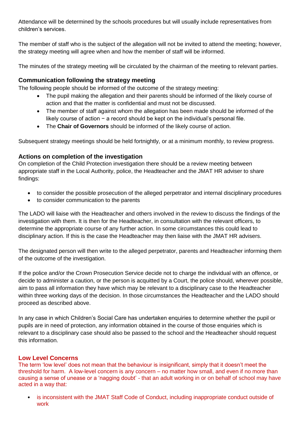Attendance will be determined by the schools procedures but will usually include representatives from children's services.

The member of staff who is the subject of the allegation will not be invited to attend the meeting; however, the strategy meeting will agree when and how the member of staff will be informed.

The minutes of the strategy meeting will be circulated by the chairman of the meeting to relevant parties.

# **Communication following the strategy meeting**

The following people should be informed of the outcome of the strategy meeting:

- The pupil making the allegation and their parents should be informed of the likely course of action and that the matter is confidential and must not be discussed.
- The member of staff against whom the allegation has been made should be informed of the likely course of action − a record should be kept on the individual's personal file.
- The **Chair of Governors** should be informed of the likely course of action.

Subsequent strategy meetings should be held fortnightly, or at a minimum monthly, to review progress.

# **Actions on completion of the investigation**

On completion of the Child Protection investigation there should be a review meeting between appropriate staff in the Local Authority, police, the Headteacher and the JMAT HR adviser to share findings:

- to consider the possible prosecution of the alleged perpetrator and internal disciplinary procedures
- to consider communication to the parents

The LADO will liaise with the Headteacher and others involved in the review to discuss the findings of the investigation with them. It is then for the Headteacher, in consultation with the relevant officers, to determine the appropriate course of any further action. In some circumstances this could lead to disciplinary action. If this is the case the Headteacher may then liaise with the JMAT HR advisers.

The designated person will then write to the alleged perpetrator, parents and Headteacher informing them of the outcome of the investigation.

If the police and/or the Crown Prosecution Service decide not to charge the individual with an offence, or decide to administer a caution, or the person is acquitted by a Court, the police should, wherever possible, aim to pass all information they have which may be relevant to a disciplinary case to the Headteacher within three working days of the decision. In those circumstances the Headteacher and the LADO should proceed as described above.

In any case in which Children's Social Care has undertaken enquiries to determine whether the pupil or pupils are in need of protection, any information obtained in the course of those enquiries which is relevant to a disciplinary case should also be passed to the school and the Headteacher should request this information.

# **Low Level Concerns**

The term 'low level' does not mean that the behaviour is insignificant, simply that it doesn't meet the threshold for harm. A low-level concern is any concern – no matter how small, and even if no more than causing a sense of unease or a 'nagging doubt' - that an adult working in or on behalf of school may have acted in a way that:

• is inconsistent with the JMAT Staff Code of Conduct, including inappropriate conduct outside of work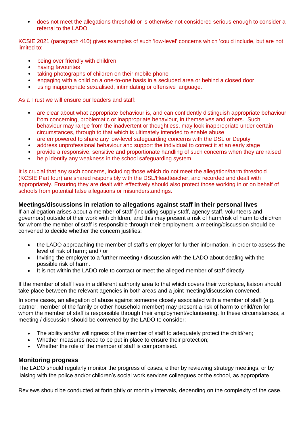• does not meet the allegations threshold or is otherwise not considered serious enough to consider a referral to the LADO.

KCSIE 2021 (paragraph 410) gives examples of such 'low-level' concerns which 'could include, but are not limited to:

- being over friendly with children
- having favourites
- taking photographs of children on their mobile phone
- engaging with a child on a one-to-one basis in a secluded area or behind a closed door
- using inappropriate sexualised, intimidating or offensive language.

As a Trust we will ensure our leaders and staff:

- are clear about what appropriate behaviour is, and can confidently distinguish appropriate behaviour from concerning, problematic or inappropriate behaviour, in themselves and others. Such behaviour may range from the inadvertent or thoughtless, may look inappropriate under certain circumstances, through to that which is ultimately intended to enable abuse
- are empowered to share any low-level safeguarding concerns with the DSL or Deputy
- address unprofessional behaviour and support the individual to correct it at an early stage
- provide a responsive, sensitive and proportionate handling of such concerns when they are raised
- help identify any weakness in the school safeguarding system.

It is crucial that any such concerns, including those which do not meet the allegation/harm threshold (KCSIE Part four) are shared responsibly with the DSL/Headteacher, and recorded and dealt with appropriately. Ensuring they are dealt with effectively should also protect those working in or on behalf of schools from potential false allegations or misunderstandings.

#### **Meetings/discussions in relation to allegations against staff in their personal lives**

If an allegation arises about a member of staff (including supply staff, agency staff, volunteers and governors) outside of their work with children, and this may present a risk of harm/risk of harm to child/ren for whom the member of staff is responsible through their employment, a meeting/discussion should be convened to decide whether the concern justifies:

- the LADO approaching the member of staff's employer for further information, in order to assess the level of risk of harm; and / or
- Inviting the employer to a further meeting / discussion with the LADO about dealing with the possible risk of harm.
- It is not within the LADO role to contact or meet the alleged member of staff directly.

If the member of staff lives in a different authority area to that which covers their workplace, liaison should take place between the relevant agencies in both areas and a joint meeting/discussion convened.

In some cases, an allegation of abuse against someone closely associated with a member of staff (e.g. partner, member of the family or other household member) may present a risk of harm to child/ren for whom the member of staff is responsible through their employment/volunteering. In these circumstances, a meeting / discussion should be convened by the LADO to consider:

- The ability and/or willingness of the member of staff to adequately protect the child/ren;
- Whether measures need to be put in place to ensure their protection;
- Whether the role of the member of staff is compromised.

#### **Monitoring progress**

The LADO should regularly monitor the progress of cases, either by reviewing strategy meetings, or by liaising with the police and/or children's social work services colleagues or the school, as appropriate.

Reviews should be conducted at fortnightly or monthly intervals, depending on the complexity of the case.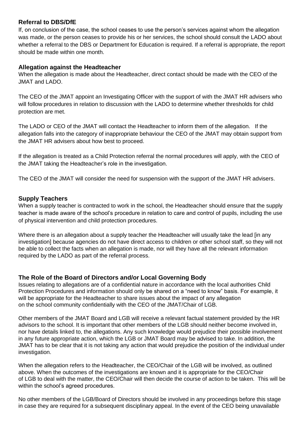# **Referral to DBS/DfE**

If, on conclusion of the case, the school ceases to use the person's services against whom the allegation was made, or the person ceases to provide his or her services, the school should consult the LADO about whether a referral to the DBS or Department for Education is required. If a referral is appropriate, the report should be made within one month.

# **Allegation against the Headteacher**

When the allegation is made about the Headteacher, direct contact should be made with the CEO of the JMAT and LADO.

The CEO of the JMAT appoint an Investigating Officer with the support of with the JMAT HR advisers who will follow procedures in relation to discussion with the LADO to determine whether thresholds for child protection are met.

The LADO or CEO of the JMAT will contact the Headteacher to inform them of the allegation. If the allegation falls into the category of inappropriate behaviour the CEO of the JMAT may obtain support from the JMAT HR advisers about how best to proceed.

If the allegation is treated as a Child Protection referral the normal procedures will apply, with the CEO of the JMAT taking the Headteacher's role in the investigation.

The CEO of the JMAT will consider the need for suspension with the support of the JMAT HR advisers.

# **Supply Teachers**

When a supply teacher is contracted to work in the school, the Headteacher should ensure that the supply teacher is made aware of the school's procedure in relation to care and control of pupils, including the use of physical intervention and child protection procedures.

Where there is an allegation about a supply teacher the Headteacher will usually take the lead [in any investigation] because agencies do not have direct access to children or other school staff, so they will not be able to collect the facts when an allegation is made, nor will they have all the relevant information required by the LADO as part of the referral process.

# **The Role of the Board of Directors and/or Local Governing Body**

Issues relating to allegations are of a confidential nature in accordance with the local authorities Child Protection Procedures and information should only be shared on a "need to know" basis. For example, it will be appropriate for the Headteacher to share issues about the impact of any allegation on the school community confidentially with the CEO of the JMAT/Chair of LGB.

Other members of the JMAT Board and LGB will receive a relevant factual statement provided by the HR advisors to the school. It is important that other members of the LGB should neither become involved in, nor have details linked to, the allegations. Any such knowledge would prejudice their possible involvement in any future appropriate action, which the LGB or JMAT Board may be advised to take. In addition, the JMAT has to be clear that it is not taking any action that would prejudice the position of the individual under investigation.

When the allegation refers to the Headteacher, the CEO/Chair of the LGB will be involved, as outlined above. When the outcomes of the investigations are known and it is appropriate for the CEO/Chair of LGB to deal with the matter, the CEO/Chair will then decide the course of action to be taken. This will be within the school's agreed procedures.

No other members of the LGB/Board of Directors should be involved in any proceedings before this stage in case they are required for a subsequent disciplinary appeal. In the event of the CEO being unavailable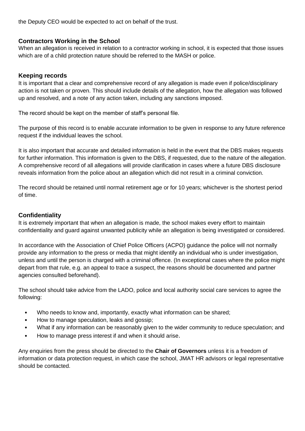the Deputy CEO would be expected to act on behalf of the trust.

# **Contractors Working in the School**

When an allegation is received in relation to a contractor working in school, it is expected that those issues which are of a child protection nature should be referred to the MASH or police.

# **Keeping records**

It is important that a clear and comprehensive record of any allegation is made even if police/disciplinary action is not taken or proven. This should include details of the allegation, how the allegation was followed up and resolved, and a note of any action taken, including any sanctions imposed.

The record should be kept on the member of staff's personal file.

The purpose of this record is to enable accurate information to be given in response to any future reference request if the individual leaves the school.

It is also important that accurate and detailed information is held in the event that the DBS makes requests for further information. This information is given to the DBS, if requested, due to the nature of the allegation. A comprehensive record of all allegations will provide clarification in cases where a future DBS disclosure reveals information from the police about an allegation which did not result in a criminal conviction.

The record should be retained until normal retirement age or for 10 years; whichever is the shortest period of time.

# **Confidentiality**

It is extremely important that when an allegation is made, the school makes every effort to maintain confidentiality and guard against unwanted publicity while an allegation is being investigated or considered.

In accordance with the Association of Chief Police Officers (ACPO) guidance the police will not normally provide any information to the press or media that might identify an individual who is under investigation, unless and until the person is charged with a criminal offence. (In exceptional cases where the police might depart from that rule, e.g. an appeal to trace a suspect, the reasons should be documented and partner agencies consulted beforehand).

The school should take advice from the LADO, police and local authority social care services to agree the following:

- Who needs to know and, importantly, exactly what information can be shared;
- How to manage speculation, leaks and gossip;
- What if any information can be reasonably given to the wider community to reduce speculation; and
- How to manage press interest if and when it should arise.

Any enquiries from the press should be directed to the **Chair of Governors** unless it is a freedom of information or data protection request, in which case the school, JMAT HR advisors or legal representative should be contacted.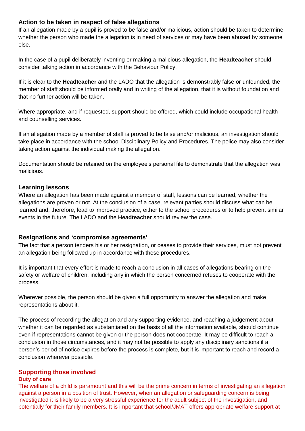# **Action to be taken in respect of false allegations**

If an allegation made by a pupil is proved to be false and/or malicious, action should be taken to determine whether the person who made the allegation is in need of services or may have been abused by someone else.

In the case of a pupil deliberately inventing or making a malicious allegation, the **Headteacher** should consider talking action in accordance with the Behaviour Policy.

If it is clear to the **Headteacher** and the LADO that the allegation is demonstrably false or unfounded, the member of staff should be informed orally and in writing of the allegation, that it is without foundation and that no further action will be taken.

Where appropriate, and if requested, support should be offered, which could include occupational health and counselling services.

If an allegation made by a member of staff is proved to be false and/or malicious, an investigation should take place in accordance with the school Disciplinary Policy and Procedures. The police may also consider taking action against the individual making the allegation.

Documentation should be retained on the employee's personal file to demonstrate that the allegation was malicious.

# **Learning lessons**

Where an allegation has been made against a member of staff, lessons can be learned, whether the allegations are proven or not. At the conclusion of a case, relevant parties should discuss what can be learned and, therefore, lead to improved practice, either to the school procedures or to help prevent similar events in the future. The LADO and the **Headteacher** should review the case.

# **Resignations and 'compromise agreements'**

The fact that a person tenders his or her resignation, or ceases to provide their services, must not prevent an allegation being followed up in accordance with these procedures.

It is important that every effort is made to reach a conclusion in all cases of allegations bearing on the safety or welfare of children, including any in which the person concerned refuses to cooperate with the process.

Wherever possible, the person should be given a full opportunity to answer the allegation and make representations about it.

The process of recording the allegation and any supporting evidence, and reaching a judgement about whether it can be regarded as substantiated on the basis of all the information available, should continue even if representations cannot be given or the person does not cooperate. It may be difficult to reach a conclusion in those circumstances, and it may not be possible to apply any disciplinary sanctions if a person's period of notice expires before the process is complete, but it is important to reach and record a conclusion wherever possible.

# **Supporting those involved**

# **Duty of care**

The welfare of a child is paramount and this will be the prime concern in terms of investigating an allegation against a person in a position of trust. However, when an allegation or safeguarding concern is being investigated it is likely to be a very stressful experience for the adult subject of the investigation, and potentially for their family members. It is important that school/JMAT offers appropriate welfare support at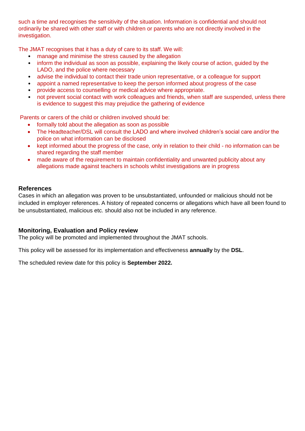such a time and recognises the sensitivity of the situation. Information is confidential and should not ordinarily be shared with other staff or with children or parents who are not directly involved in the investigation.

The JMAT recognises that it has a duty of care to its staff. We will:

- manage and minimise the stress caused by the allegation
- inform the individual as soon as possible, explaining the likely course of action, guided by the LADO, and the police where necessary
- advise the individual to contact their trade union representative, or a colleague for support
- appoint a named representative to keep the person informed about progress of the case
- provide access to counselling or medical advice where appropriate.
- not prevent social contact with work colleagues and friends, when staff are suspended, unless there is evidence to suggest this may prejudice the gathering of evidence

Parents or carers of the child or children involved should be:

- formally told about the allegation as soon as possible
- The Headteacher/DSL will consult the LADO and where involved children's social care and/or the police on what information can be disclosed
- kept informed about the progress of the case, only in relation to their child no information can be shared regarding the staff member
- made aware of the requirement to maintain confidentiality and unwanted publicity about any allegations made against teachers in schools whilst investigations are in progress

# **References**

Cases in which an allegation was proven to be unsubstantiated, unfounded or malicious should not be included in employer references. A history of repeated concerns or allegations which have all been found to be unsubstantiated, malicious etc. should also not be included in any reference.

# **Monitoring, Evaluation and Policy review**

The policy will be promoted and implemented throughout the JMAT schools.

This policy will be assessed for its implementation and effectiveness **annually** by the **DSL**.

The scheduled review date for this policy is **September 2022.**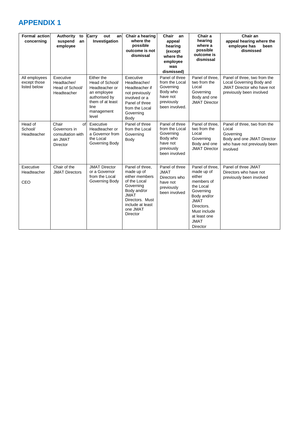# **APPENDIX 1**

| <b>Formal action</b><br>concerning            | <b>Authority</b><br>to<br>suspend<br>an<br>employee                            | Carry<br>out<br>anl<br>Investigation                                                                                               | Chair a hearing<br>where the<br>possible<br>outcome is not<br>dismissal                                                                                                   | Chair<br>an<br>appeal<br>hearing<br>(except<br>where the<br>employee<br>was<br>dismissed)             | Chair a<br>hearing<br>where a<br>possible<br>outcome is<br>dismissal                                                                                                                   | Chair an<br>appeal hearing where the<br>employee has<br>been<br>dismissed                                                    |
|-----------------------------------------------|--------------------------------------------------------------------------------|------------------------------------------------------------------------------------------------------------------------------------|---------------------------------------------------------------------------------------------------------------------------------------------------------------------------|-------------------------------------------------------------------------------------------------------|----------------------------------------------------------------------------------------------------------------------------------------------------------------------------------------|------------------------------------------------------------------------------------------------------------------------------|
| All employees<br>except those<br>listed below | Executive<br>Headtacher/<br>Head of School/<br>Headteacher                     | Either the<br>Head of School/<br>Headteacher or<br>an employee<br>authorised by<br>them of at least<br>line<br>management<br>level | Executive<br>Headteacher/<br>Headteacher if<br>not previously<br>involved or a<br>Panel of three<br>from the Local<br>Governing<br>Body                                   | Panel of three<br>from the Local<br>Governing<br>Body who<br>have not<br>previously<br>been involved. | Panel of three.<br>two from the<br>Local<br>Governing<br>Body and one<br><b>JMAT Director</b>                                                                                          | Panel of three, two from the<br>Local Governing Body and<br>JMAT Director who have not<br>previously been involved           |
| Head of<br>School/<br>Headteacher             | Chair<br>οf<br>Governors in<br>consultation with<br>an JMAT<br><b>Director</b> | Executive<br>Headteacher or<br>a Governor from<br>the Local<br>Governing Body                                                      | Panel of three<br>from the Local<br>Governing<br>Body                                                                                                                     | Panel of three<br>from the Local<br>Governing<br>Body who<br>have not<br>previously<br>been involved  | Panel of three,<br>two from the<br>Local<br>Governing<br>Body and one<br><b>JMAT Director</b>                                                                                          | Panel of three, two from the<br>Local<br>Governing<br>Body and one JMAT Director<br>who have not previously been<br>involved |
| Executive<br>Headteacher<br>CEO               | Chair of the<br><b>JMAT Directors</b>                                          | <b>JMAT Director</b><br>or a Governor<br>from the Local<br>Governing Body                                                          | Panel of three.<br>made up of<br>either members<br>of the Local<br>Governing<br>Body and/or<br><b>JMAT</b><br>Directors, Must<br>include at least<br>one JMAT<br>Director | Panel of three<br><b>JMAT</b><br>Directors who<br>have not<br>previously<br>been involved             | Panel of three.<br>made up of<br>either<br>members of<br>the Local<br>Governing<br>Body and/or<br><b>JMAT</b><br>Directors.<br>Must include<br>at least one<br><b>JMAT</b><br>Director | Panel of three JMAT<br>Directors who have not<br>previously been involved                                                    |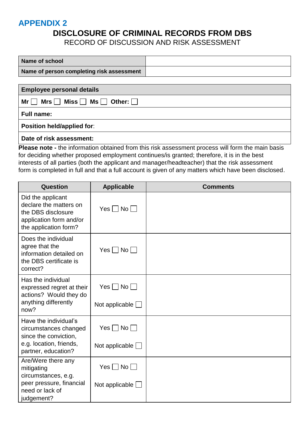# **APPENDIX 2**

# **DISCLOSURE OF CRIMINAL RECORDS FROM DBS**

RECORD OF DISCUSSION AND RISK ASSESSMENT

| Name of school                                                    |  |  |  |
|-------------------------------------------------------------------|--|--|--|
| Name of person completing risk assessment                         |  |  |  |
|                                                                   |  |  |  |
| <b>Employee personal details</b>                                  |  |  |  |
| Mrs $\Box$ Miss $\Box$ Ms $\Box$ Other: $\Box$<br>Mr <sub>l</sub> |  |  |  |
| <b>Full name:</b>                                                 |  |  |  |
| <b>Position held/applied for:</b>                                 |  |  |  |
| Date of risk assessment:                                          |  |  |  |

**Please note -** the information obtained from this risk assessment process will form the main basis for deciding whether proposed employment continues/is granted; therefore, it is in the best interests of all parties (both the applicant and manager/headteacher) that the risk assessment form is completed in full and that a full account is given of any matters which have been disclosed.

| <b>Question</b>                                                                                                       | <b>Applicable</b>                    | <b>Comments</b> |
|-----------------------------------------------------------------------------------------------------------------------|--------------------------------------|-----------------|
| Did the applicant<br>declare the matters on<br>the DBS disclosure<br>application form and/or<br>the application form? | $Yes \Box No \Box$                   |                 |
| Does the individual<br>agree that the<br>information detailed on<br>the DBS certificate is<br>correct?                | $Yes \Box No \Box$                   |                 |
| Has the individual<br>expressed regret at their<br>actions? Would they do<br>anything differently                     | $Yes \Box No \Box$<br>Not applicable |                 |
| now?                                                                                                                  |                                      |                 |
| Have the individual's<br>circumstances changed<br>since the conviction,                                               | $Yes \Box No \Box$                   |                 |
| e.g. location, friends,<br>partner, education?                                                                        | Not applicable [                     |                 |
| Are/Were there any<br>mitigating<br>circumstances, e.g.                                                               | $Yes \Box No \Box$                   |                 |
| peer pressure, financial<br>need or lack of<br>judgement?                                                             | Not applicable $\Box$                |                 |